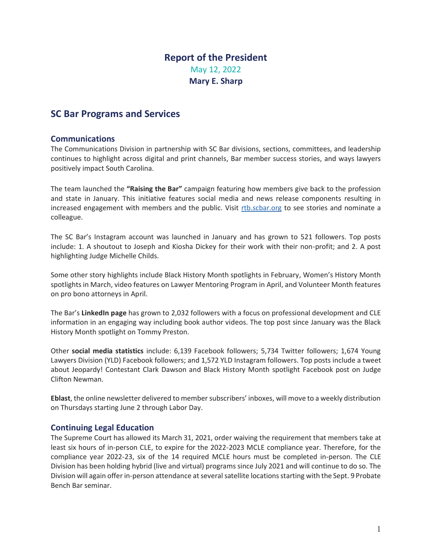# **Report of the President**  May 12, 2022 **Mary E. Sharp**

# **SC Bar Programs and Services**

# **Communications**

The Communications Division in partnership with SC Bar divisions, sections, committees, and leadership continues to highlight across digital and print channels, Bar member success stories, and ways lawyers positively impact South Carolina.

The team launched the **"Raising the Bar"** campaign featuring how members give back to the profession and state in January. This initiative features social media and news release components resulting in increased engagement with members and the public. Visit rtb.scbar.org to see stories and nominate a colleague.

The SC Bar's Instagram account was launched in January and has grown to 521 followers. Top posts include: 1. A shoutout to Joseph and Kiosha Dickey for their work with their non-profit; and 2. A post highlighting Judge Michelle Childs.

Some other story highlights include Black History Month spotlights in February, Women's History Month spotlights in March, video features on Lawyer Mentoring Program in April, and Volunteer Month features on pro bono attorneys in April.

The Bar's **LinkedIn page** has grown to 2,032 followers with a focus on professional development and CLE information in an engaging way including book author videos. The top post since January was the Black History Month spotlight on Tommy Preston.

Other **social media statistics** include: 6,139 Facebook followers; 5,734 Twitter followers; 1,674 Young Lawyers Division (YLD) Facebook followers; and 1,572 YLD Instagram followers. Top posts include a tweet about Jeopardy! Contestant Clark Dawson and Black History Month spotlight Facebook post on Judge Clifton Newman.

**Eblast**, the online newsletter delivered to member subscribers' inboxes, will move to a weekly distribution on Thursdays starting June 2 through Labor Day.

# **Continuing Legal Education**

The Supreme Court has allowed its March 31, 2021, order waiving the requirement that members take at least six hours of in-person CLE, to expire for the 2022-2023 MCLE compliance year. Therefore, for the compliance year 2022-23, six of the 14 required MCLE hours must be completed in-person. The CLE Division has been holding hybrid (live and virtual) programs since July 2021 and will continue to do so. The Division will again offer in-person attendance at several satellite locations starting with the Sept. 9 Probate Bench Bar seminar.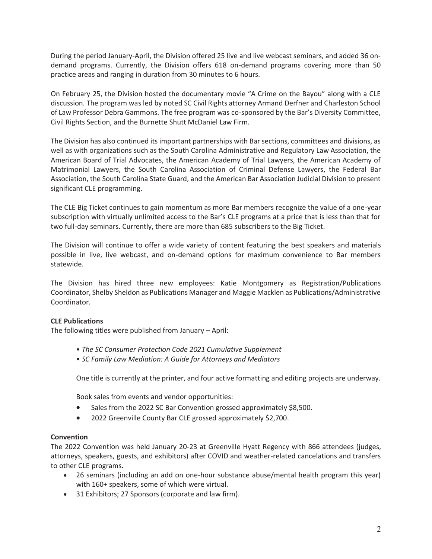During the period January-April, the Division offered 25 live and live webcast seminars, and added 36 ondemand programs. Currently, the Division offers 618 on-demand programs covering more than 50 practice areas and ranging in duration from 30 minutes to 6 hours.

On February 25, the Division hosted the documentary movie "A Crime on the Bayou" along with a CLE discussion. The program was led by noted SC Civil Rights attorney Armand Derfner and Charleston School of Law Professor Debra Gammons. The free program was co-sponsored by the Bar's Diversity Committee, Civil Rights Section, and the Burnette Shutt McDaniel Law Firm.

The Division has also continued its important partnerships with Bar sections, committees and divisions, as well as with organizations such as the South Carolina Administrative and Regulatory Law Association, the American Board of Trial Advocates, the American Academy of Trial Lawyers, the American Academy of Matrimonial Lawyers, the South Carolina Association of Criminal Defense Lawyers, the Federal Bar Association, the South Carolina State Guard, and the American Bar Association Judicial Division to present significant CLE programming.

The CLE Big Ticket continues to gain momentum as more Bar members recognize the value of a one-year subscription with virtually unlimited access to the Bar's CLE programs at a price that is less than that for two full-day seminars. Currently, there are more than 685 subscribers to the Big Ticket.

The Division will continue to offer a wide variety of content featuring the best speakers and materials possible in live, live webcast, and on-demand options for maximum convenience to Bar members statewide.

The Division has hired three new employees: Katie Montgomery as Registration/Publications Coordinator, Shelby Sheldon as Publications Manager and Maggie Macklen as Publications/Administrative Coordinator.

### **CLE Publications**

The following titles were published from January – April:

- *The SC Consumer Protection Code 2021 Cumulative Supplement*
- *SC Family Law Mediation: A Guide for Attorneys and Mediators*

One title is currently at the printer, and four active formatting and editing projects are underway.

Book sales from events and vendor opportunities:

- Sales from the 2022 SC Bar Convention grossed approximately \$8,500.
- 2022 Greenville County Bar CLE grossed approximately \$2,700.

### **Convention**

The 2022 Convention was held January 20-23 at Greenville Hyatt Regency with 866 attendees (judges, attorneys, speakers, guests, and exhibitors) after COVID and weather-related cancelations and transfers to other CLE programs.

- 26 seminars (including an add on one-hour substance abuse/mental health program this year) with 160+ speakers, some of which were virtual.
- 31 Exhibitors; 27 Sponsors (corporate and law firm).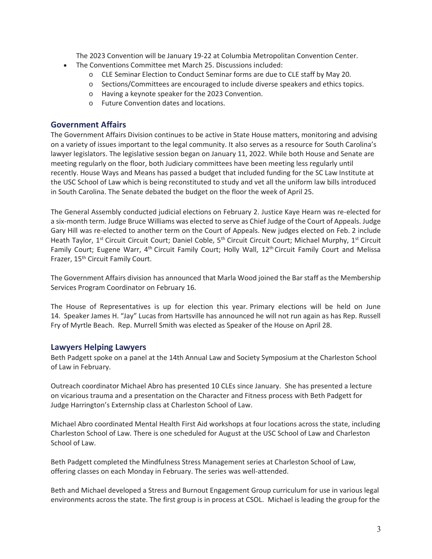The 2023 Convention will be January 19-22 at Columbia Metropolitan Convention Center.

- The Conventions Committee met March 25. Discussions included:
	- o CLE Seminar Election to Conduct Seminar forms are due to CLE staff by May 20.
	- o Sections/Committees are encouraged to include diverse speakers and ethics topics.
	- o Having a keynote speaker for the 2023 Convention.
	- o Future Convention dates and locations.

# **Government Affairs**

The Government Affairs Division continues to be active in State House matters, monitoring and advising on a variety of issues important to the legal community. It also serves as a resource for South Carolina's lawyer legislators. The legislative session began on January 11, 2022. While both House and Senate are meeting regularly on the floor, both Judiciary committees have been meeting less regularly until recently. House Ways and Means has passed a budget that included funding for the SC Law Institute at the USC School of Law which is being reconstituted to study and vet all the uniform law bills introduced in South Carolina. The Senate debated the budget on the floor the week of April 25.

The General Assembly conducted judicial elections on February 2. Justice Kaye Hearn was re-elected for a six-month term. Judge Bruce Williams was elected to serve as Chief Judge of the Court of Appeals. Judge Gary Hill was re-elected to another term on the Court of Appeals. New judges elected on Feb. 2 include Heath Taylor, 1<sup>st</sup> Circuit Circuit Court; Daniel Coble, 5<sup>th</sup> Circuit Circuit Court; Michael Murphy, 1<sup>st</sup> Circuit Family Court; Eugene Warr, 4<sup>th</sup> Circuit Family Court; Holly Wall, 12<sup>th</sup> Circuit Family Court and Melissa Frazer, 15<sup>th</sup> Circuit Family Court.

The Government Affairs division has announced that Marla Wood joined the Bar staff as the Membership Services Program Coordinator on February 16.

The House of Representatives is up for election this year. Primary elections will be held on June 14. Speaker James H. "Jay" Lucas from Hartsville has announced he will not run again as has Rep. Russell Fry of Myrtle Beach. Rep. Murrell Smith was elected as Speaker of the House on April 28.

# **Lawyers Helping Lawyers**

Beth Padgett spoke on a panel at the 14th Annual Law and Society Symposium at the Charleston School of Law in February.

Outreach coordinator Michael Abro has presented 10 CLEs since January. She has presented a lecture on vicarious trauma and a presentation on the Character and Fitness process with Beth Padgett for Judge Harrington's Externship class at Charleston School of Law.

Michael Abro coordinated Mental Health First Aid workshops at four locations across the state, including Charleston School of Law. There is one scheduled for August at the USC School of Law and Charleston School of Law.

Beth Padgett completed the Mindfulness Stress Management series at Charleston School of Law, offering classes on each Monday in February. The series was well-attended.

Beth and Michael developed a Stress and Burnout Engagement Group curriculum for use in various legal environments across the state. The first group is in process at CSOL. Michael is leading the group for the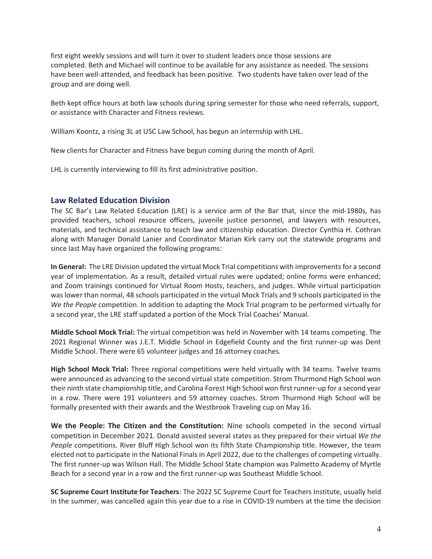first eight weekly sessions and will turn it over to student leaders once those sessions are completed. Beth and Michael will continue to be available for any assistance as needed. The sessions have been well-attended, and feedback has been positive. Two students have taken over lead of the group and are doing well.

Beth kept office hours at both law schools during spring semester for those who need referrals, support, or assistance with Character and Fitness reviews.

William Koontz, a rising 3L at USC Law School, has begun an internship with LHL.

New clients for Character and Fitness have begun coming during the month of April.

LHL is currently interviewing to fill its first administrative position.

### **Law Related Education Division**

The SC Bar's Law Related Education (LRE) is a service arm of the Bar that, since the mid-1980s, has provided teachers, school resource officers, juvenile justice personnel, and lawyers with resources, materials, and technical assistance to teach law and citizenship education. Director Cynthia H. Cothran along with Manager Donald Lanier and Coordinator Marian Kirk carry out the statewide programs and since last May have organized the following programs:

**In General:** The LRE Division updated the virtual Mock Trial competitions with improvements for a second year of implementation. As a result, detailed virtual rules were updated; online forms were enhanced; and Zoom trainings continued for Virtual Room Hosts, teachers, and judges. While virtual participation was lower than normal, 48 schools participated in the virtual Mock Trials and 9 schools participated in the *We the People* competition. In addition to adapting the Mock Trial program to be performed virtually for a second year, the LRE staff updated a portion of the Mock Trial Coaches' Manual.

**Middle School Mock Trial:** The virtual competition was held in November with 14 teams competing. The 2021 Regional Winner was J.E.T. Middle School in Edgefield County and the first runner-up was Dent Middle School. There were 65 volunteer judges and 16 attorney coaches.

**High School Mock Trial:** Three regional competitions were held virtually with 34 teams. Twelve teams were announced as advancing to the second virtual state competition. Strom Thurmond High School won their ninth state championship title, and Carolina Forest High School won first runner-up for a second year in a row. There were 191 volunteers and 59 attorney coaches. Strom Thurmond High School will be formally presented with their awards and the Westbrook Traveling cup on May 16.

**We the People: The Citizen and the Constitution:** Nine schools competed in the second virtual competition in December 2021. Donald assisted several states as they prepared for their virtual *We the People* competitions. River Bluff High School won its fifth State Championship title. However, the team elected not to participate in the National Finals in April 2022, due to the challenges of competing virtually. The first runner-up was Wilson Hall. The Middle School State champion was Palmetto Academy of Myrtle Beach for a second year in a row and the first runner-up was Southeast Middle School.

**SC Supreme Court Institute for Teachers**: The 2022 SC Supreme Court for Teachers Institute, usually held in the summer, was cancelled again this year due to a rise in COVID-19 numbers at the time the decision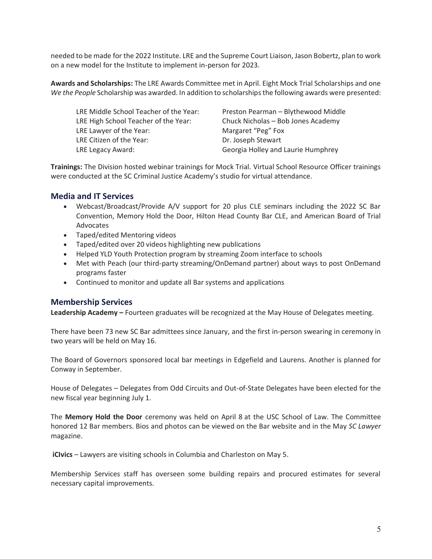needed to be made for the 2022 Institute. LRE and the Supreme Court Liaison, Jason Bobertz, plan to work on a new model for the Institute to implement in-person for 2023.

**Awards and Scholarships:** The LRE Awards Committee met in April. Eight Mock Trial Scholarships and one *We the People* Scholarship was awarded. In addition to scholarships the following awards were presented:

LRE High School Teacher of the Year: Chuck Nicholas – Bob Jones Academy LRE Lawyer of the Year: Margaret "Peg" Fox LRE Citizen of the Year: Dr. Joseph Stewart LRE Legacy Award: Georgia Holley and Laurie Humphrey

LRE Middle School Teacher of the Year: Preston Pearman – Blythewood Middle

**Trainings:** The Division hosted webinar trainings for Mock Trial. Virtual School Resource Officer trainings were conducted at the SC Criminal Justice Academy's studio for virtual attendance.

# **Media and IT Services**

- Webcast/Broadcast/Provide A/V support for 20 plus CLE seminars including the 2022 SC Bar Convention, Memory Hold the Door, Hilton Head County Bar CLE, and American Board of Trial Advocates
- Taped/edited Mentoring videos
- Taped/edited over 20 videos highlighting new publications
- Helped YLD Youth Protection program by streaming Zoom interface to schools
- Met with Peach (our third-party streaming/OnDemand partner) about ways to post OnDemand programs faster
- Continued to monitor and update all Bar systems and applications

# **Membership Services**

**Leadership Academy –** Fourteen graduates will be recognized at the May House of Delegates meeting.

There have been 73 new SC Bar admittees since January, and the first in-person swearing in ceremony in two years will be held on May 16.

The Board of Governors sponsored local bar meetings in Edgefield and Laurens. Another is planned for Conway in September.

House of Delegates – Delegates from Odd Circuits and Out-of-State Delegates have been elected for the new fiscal year beginning July 1.

The **Memory Hold the Door** ceremony was held on April 8 at the USC School of Law. The Committee honored 12 Bar members. Bios and photos can be viewed on the Bar website and in the May *SC Lawyer* magazine.

 **iCIvics** – Lawyers are visiting schools in Columbia and Charleston on May 5.

Membership Services staff has overseen some building repairs and procured estimates for several necessary capital improvements.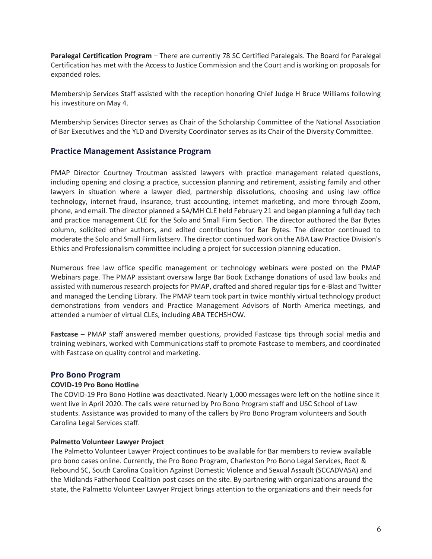**Paralegal Certification Program** – There are currently 78 SC Certified Paralegals. The Board for Paralegal Certification has met with the Access to Justice Commission and the Court and is working on proposals for expanded roles.

Membership Services Staff assisted with the reception honoring Chief Judge H Bruce Williams following his investiture on May 4.

Membership Services Director serves as Chair of the Scholarship Committee of the National Association of Bar Executives and the YLD and Diversity Coordinator serves as its Chair of the Diversity Committee.

# **Practice Management Assistance Program**

PMAP Director Courtney Troutman assisted lawyers with practice management related questions, including opening and closing a practice, succession planning and retirement, assisting family and other lawyers in situation where a lawyer died, partnership dissolutions, choosing and using law office technology, internet fraud, insurance, trust accounting, internet marketing, and more through Zoom, phone, and email. The director planned a SA/MH CLE held February 21 and began planning a full day tech and practice management CLE for the Solo and Small Firm Section. The director authored the Bar Bytes column, solicited other authors, and edited contributions for Bar Bytes. The director continued to moderate the Solo and Small Firm listserv. The director continued work on the ABA Law Practice Division's Ethics and Professionalism committee including a project for succession planning education.

Numerous free law office specific management or technology webinars were posted on the PMAP Webinars page. The PMAP assistant oversaw large Bar Book Exchange donations of used law books and assisted with numerous research projects for PMAP, drafted and shared regular tips for e-Blast and Twitter and managed the Lending Library. The PMAP team took part in twice monthly virtual technology product demonstrations from vendors and Practice Management Advisors of North America meetings, and attended a number of virtual CLEs, including ABA TECHSHOW.

**Fastcase** – PMAP staff answered member questions, provided Fastcase tips through social media and training webinars, worked with Communications staff to promote Fastcase to members, and coordinated with Fastcase on quality control and marketing.

# **Pro Bono Program**

### **COVID-19 Pro Bono Hotline**

The COVID-19 Pro Bono Hotline was deactivated. Nearly 1,000 messages were left on the hotline since it went live in April 2020. The calls were returned by Pro Bono Program staff and USC School of Law students. Assistance was provided to many of the callers by Pro Bono Program volunteers and South Carolina Legal Services staff.

### **Palmetto Volunteer Lawyer Project**

The Palmetto Volunteer Lawyer Project continues to be available for Bar members to review available pro bono cases online. Currently, the Pro Bono Program, Charleston Pro Bono Legal Services, Root & Rebound SC, South Carolina Coalition Against Domestic Violence and Sexual Assault (SCCADVASA) and the Midlands Fatherhood Coalition post cases on the site. By partnering with organizations around the state, the Palmetto Volunteer Lawyer Project brings attention to the organizations and their needs for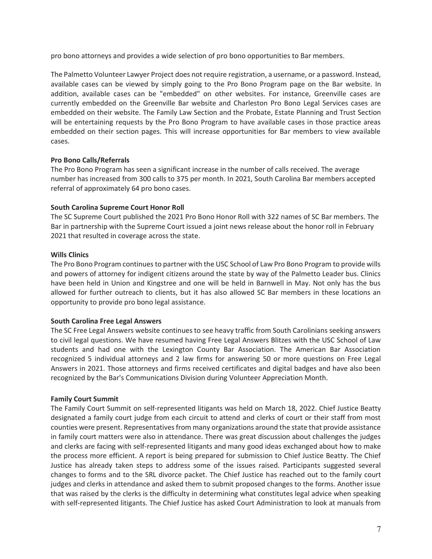pro bono attorneys and provides a wide selection of pro bono opportunities to Bar members.

The Palmetto Volunteer Lawyer Project does not require registration, a username, or a password. Instead, available cases can be viewed by simply going to the Pro Bono Program page on the Bar website. In addition, available cases can be "embedded" on other websites. For instance, Greenville cases are currently embedded on the Greenville Bar website and Charleston Pro Bono Legal Services cases are embedded on their website. The Family Law Section and the Probate, Estate Planning and Trust Section will be entertaining requests by the Pro Bono Program to have available cases in those practice areas embedded on their section pages. This will increase opportunities for Bar members to view available cases.

### **Pro Bono Calls/Referrals**

The Pro Bono Program has seen a significant increase in the number of calls received. The average number has increased from 300 calls to 375 per month. In 2021, South Carolina Bar members accepted referral of approximately 64 pro bono cases.

### **South Carolina Supreme Court Honor Roll**

The SC Supreme Court published the 2021 Pro Bono Honor Roll with 322 names of SC Bar members. The Bar in partnership with the Supreme Court issued a joint news release about the honor roll in February 2021 that resulted in coverage across the state.

### **Wills Clinics**

The Pro Bono Program continues to partner with the USC School of Law Pro Bono Program to provide wills and powers of attorney for indigent citizens around the state by way of the Palmetto Leader bus. Clinics have been held in Union and Kingstree and one will be held in Barnwell in May. Not only has the bus allowed for further outreach to clients, but it has also allowed SC Bar members in these locations an opportunity to provide pro bono legal assistance.

### **South Carolina Free Legal Answers**

The SC Free Legal Answers website continues to see heavy traffic from South Carolinians seeking answers to civil legal questions. We have resumed having Free Legal Answers Blitzes with the USC School of Law students and had one with the Lexington County Bar Association. The American Bar Association recognized 5 individual attorneys and 2 law firms for answering 50 or more questions on Free Legal Answers in 2021. Those attorneys and firms received certificates and digital badges and have also been recognized by the Bar's Communications Division during Volunteer Appreciation Month.

#### **Family Court Summit**

The Family Court Summit on self-represented litigants was held on March 18, 2022. Chief Justice Beatty designated a family court judge from each circuit to attend and clerks of court or their staff from most counties were present. Representatives from many organizations around the state that provide assistance in family court matters were also in attendance. There was great discussion about challenges the judges and clerks are facing with self-represented litigants and many good ideas exchanged about how to make the process more efficient. A report is being prepared for submission to Chief Justice Beatty. The Chief Justice has already taken steps to address some of the issues raised. Participants suggested several changes to forms and to the SRL divorce packet. The Chief Justice has reached out to the family court judges and clerks in attendance and asked them to submit proposed changes to the forms. Another issue that was raised by the clerks is the difficulty in determining what constitutes legal advice when speaking with self-represented litigants. The Chief Justice has asked Court Administration to look at manuals from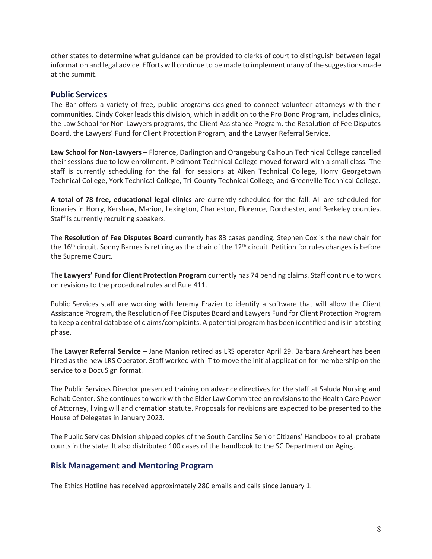other states to determine what guidance can be provided to clerks of court to distinguish between legal information and legal advice. Efforts will continue to be made to implement many of the suggestions made at the summit.

# **Public Services**

The Bar offers a variety of free, public programs designed to connect volunteer attorneys with their communities. Cindy Coker leads this division, which in addition to the Pro Bono Program, includes clinics, the Law School for Non-Lawyers programs, the Client Assistance Program, the Resolution of Fee Disputes Board, the Lawyers' Fund for Client Protection Program, and the Lawyer Referral Service.

**Law School for Non-Lawyers** – Florence, Darlington and Orangeburg Calhoun Technical College cancelled their sessions due to low enrollment. Piedmont Technical College moved forward with a small class. The staff is currently scheduling for the fall for sessions at Aiken Technical College, Horry Georgetown Technical College, York Technical College, Tri-County Technical College, and Greenville Technical College.

**A total of 78 free, educational legal clinics** are currently scheduled for the fall. All are scheduled for libraries in Horry, Kershaw, Marion, Lexington, Charleston, Florence, Dorchester, and Berkeley counties. Staff is currently recruiting speakers.

The **Resolution of Fee Disputes Board** currently has 83 cases pending. Stephen Cox is the new chair for the 16<sup>th</sup> circuit. Sonny Barnes is retiring as the chair of the 12<sup>th</sup> circuit. Petition for rules changes is before the Supreme Court.

The **Lawyers' Fund for Client Protection Program** currently has 74 pending claims. Staff continue to work on revisions to the procedural rules and Rule 411.

Public Services staff are working with Jeremy Frazier to identify a software that will allow the Client Assistance Program, the Resolution of Fee Disputes Board and Lawyers Fund for Client Protection Program to keep a central database of claims/complaints. A potential program has been identified and is in a testing phase.

The **Lawyer Referral Service** – Jane Manion retired as LRS operator April 29. Barbara Areheart has been hired as the new LRS Operator. Staff worked with IT to move the initial application for membership on the service to a DocuSign format.

The Public Services Director presented training on advance directives for the staff at Saluda Nursing and Rehab Center. She continues to work with the Elder Law Committee on revisions to the Health Care Power of Attorney, living will and cremation statute. Proposals for revisions are expected to be presented to the House of Delegates in January 2023.

The Public Services Division shipped copies of the South Carolina Senior Citizens' Handbook to all probate courts in the state. It also distributed 100 cases of the handbook to the SC Department on Aging.

# **Risk Management and Mentoring Program**

The Ethics Hotline has received approximately 280 emails and calls since January 1.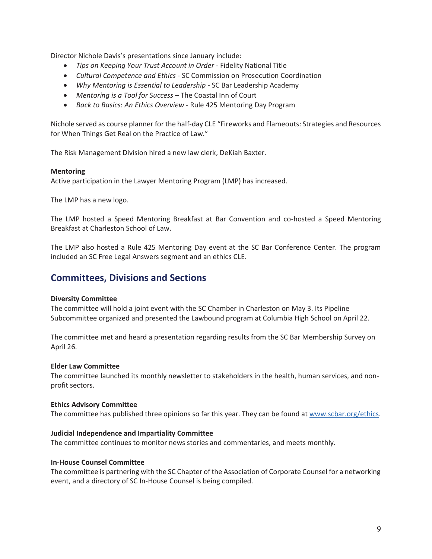Director Nichole Davis's presentations since January include:

- x *Tips on Keeping Your Trust Account in Order* Fidelity National Title
- x *Cultural Competence and Ethics* SC Commission on Prosecution Coordination
- *Why Mentoring is Essential to Leadership* SC Bar Leadership Academy
- x *Mentoring is a Tool for Success* The Coastal Inn of Court
- x *Back to Basics*: *An Ethics Overview* Rule 425 Mentoring Day Program

Nichole served as course planner for the half-day CLE "Fireworks and Flameouts: Strategies and Resources for When Things Get Real on the Practice of Law."

The Risk Management Division hired a new law clerk, DeKiah Baxter.

#### **Mentoring**

Active participation in the Lawyer Mentoring Program (LMP) has increased.

The LMP has a new logo.

The LMP hosted a Speed Mentoring Breakfast at Bar Convention and co-hosted a Speed Mentoring Breakfast at Charleston School of Law.

The LMP also hosted a Rule 425 Mentoring Day event at the SC Bar Conference Center. The program included an SC Free Legal Answers segment and an ethics CLE.

# **Committees, Divisions and Sections**

#### **Diversity Committee**

The committee will hold a joint event with the SC Chamber in Charleston on May 3. Its Pipeline Subcommittee organized and presented the Lawbound program at Columbia High School on April 22.

The committee met and heard a presentation regarding results from the SC Bar Membership Survey on April 26.

#### **Elder Law Committee**

The committee launched its monthly newsletter to stakeholders in the health, human services, and nonprofit sectors.

#### **Ethics Advisory Committee**

The committee has published three opinions so far this year. They can be found at www.scbar.org/ethics.

### **Judicial Independence and Impartiality Committee**

The committee continues to monitor news stories and commentaries, and meets monthly.

#### **In-House Counsel Committee**

The committee is partnering with the SC Chapter of the Association of Corporate Counsel for a networking event, and a directory of SC In-House Counsel is being compiled.